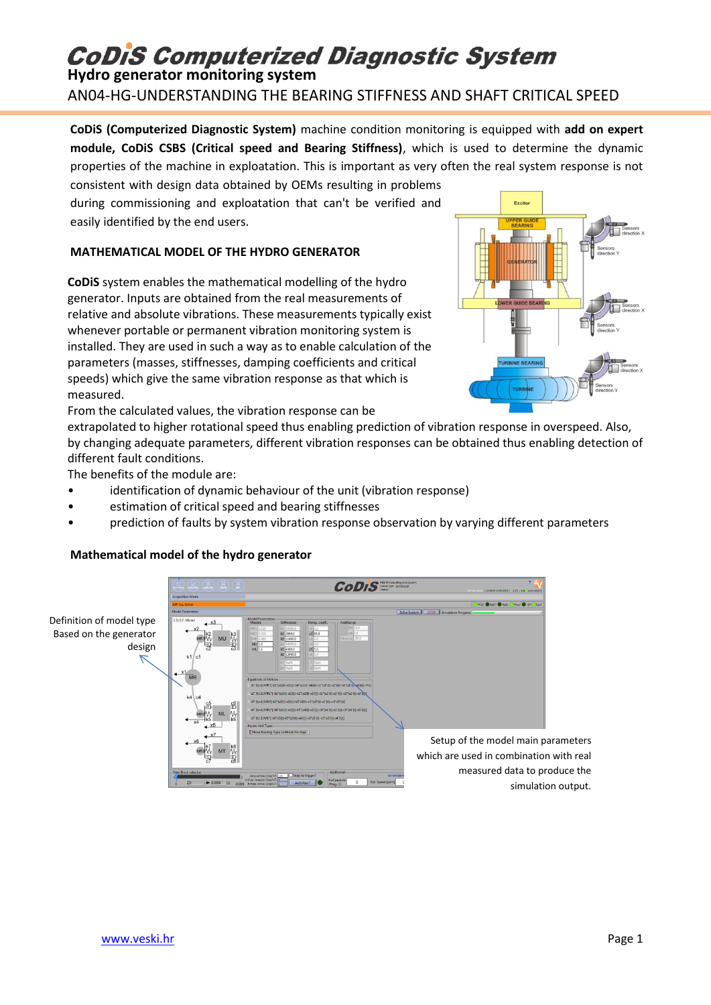# **CoDiS Computerized Diagnostic System**

**Hydro generator monitoring system**

AN04-HG-UNDERSTANDING THE BEARING STIFFNESS AND SHAFT CRITICAL SPEED

**CoDiS (Computerized Diagnostic System)** machine condition monitoring is equipped with **add on expert module, CoDiS CSBS (Critical speed and Bearing Stiffness)**, which is used to determine the dynamic properties of the machine in exploatation. This is important as very often the real system response is not consistent with design data obtained by OEMs resulting in problems

during commissioning and exploatation that can't be verified and easily identified by the end users.

## **MATHEMATICAL MODEL OF THE HYDRO GENERATOR**

**CoDiS** system enables the mathematical modelling of the hydro generator. Inputs are obtained from the real measurements of relative and absolute vibrations. These measurements typically exist whenever portable or permanent vibration monitoring system is installed. They are used in such a way as to enable calculation of the parameters (masses, stiffnesses, damping coefficients and critical speeds) which give the same vibration response as that which is measured.



From the calculated values, the vibration response can be

extrapolated to higher rotational speed thus enabling prediction of vibration response in overspeed. Also, by changing adequate parameters, different vibration responses can be obtained thus enabling detection of different fault conditions.

The benefits of the module are:

- identification of dynamic behaviour of the unit (vibration response)
- estimation of critical speed and bearing stiffnesses
- prediction of faults by system vibration response observation by varying different parameters

## **Mathematical model of the hydro generator**